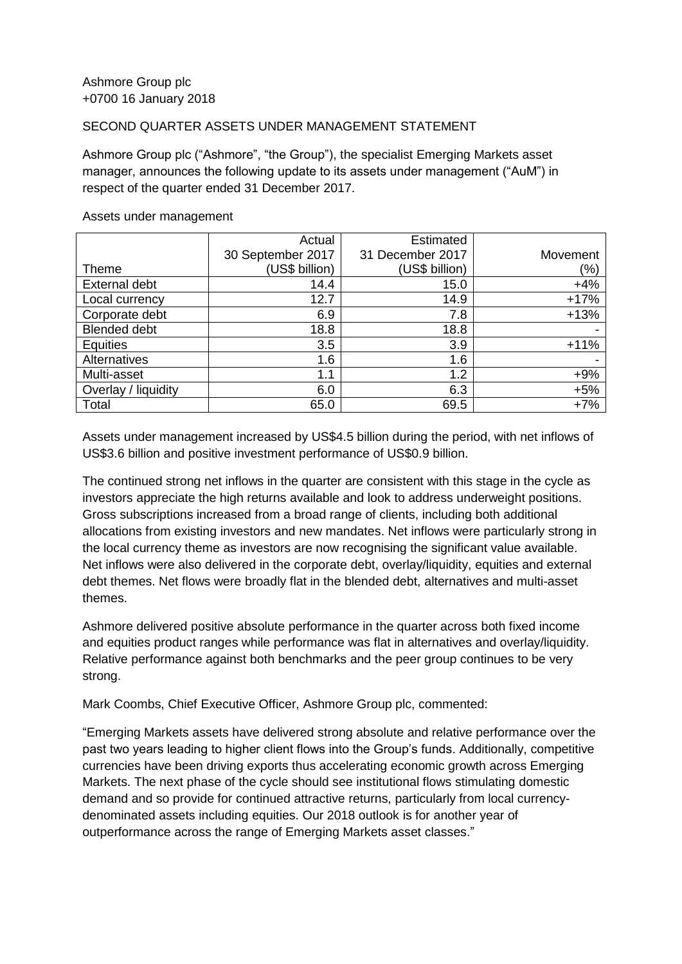## SECOND QUARTER ASSETS UNDER MANAGEMENT STATEMENT

Ashmore Group plc ("Ashmore", "the Group"), the specialist Emerging Markets asset manager, announces the following update to its assets under management ("AuM") in respect of the quarter ended 31 December 2017.

|                      | Actual            | Estimated        |          |
|----------------------|-------------------|------------------|----------|
|                      | 30 September 2017 | 31 December 2017 | Movement |
| Theme                | (US\$ billion)    | (US\$ billion)   | (%)      |
| <b>External debt</b> | 14.4              | 15.0             | $+4%$    |
| Local currency       | 12.7              | 14.9             | $+17%$   |
| Corporate debt       | 6.9               | 7.8              | $+13%$   |
| <b>Blended debt</b>  | 18.8              | 18.8             |          |
| <b>Equities</b>      | 3.5               | 3.9              | $+11%$   |
| Alternatives         | 1.6               | 1.6              |          |
| Multi-asset          | 1.1               | 1.2              | $+9%$    |
| Overlay / liquidity  | 6.0               | 6.3              | $+5%$    |
| Total                | 65.0              | 69.5             | $+7%$    |

## Assets under management

Assets under management increased by US\$4.5 billion during the period, with net inflows of US\$3.6 billion and positive investment performance of US\$0.9 billion.

The continued strong net inflows in the quarter are consistent with this stage in the cycle as investors appreciate the high returns available and look to address underweight positions. Gross subscriptions increased from a broad range of clients, including both additional allocations from existing investors and new mandates. Net inflows were particularly strong in the local currency theme as investors are now recognising the significant value available. Net inflows were also delivered in the corporate debt, overlay/liquidity, equities and external debt themes. Net flows were broadly flat in the blended debt, alternatives and multi-asset themes.

Ashmore delivered positive absolute performance in the quarter across both fixed income and equities product ranges while performance was flat in alternatives and overlay/liquidity. Relative performance against both benchmarks and the peer group continues to be very strong.

Mark Coombs, Chief Executive Officer, Ashmore Group plc, commented:

"Emerging Markets assets have delivered strong absolute and relative performance over the past two years leading to higher client flows into the Group's funds. Additionally, competitive currencies have been driving exports thus accelerating economic growth across Emerging Markets. The next phase of the cycle should see institutional flows stimulating domestic demand and so provide for continued attractive returns, particularly from local currencydenominated assets including equities. Our 2018 outlook is for another year of outperformance across the range of Emerging Markets asset classes."